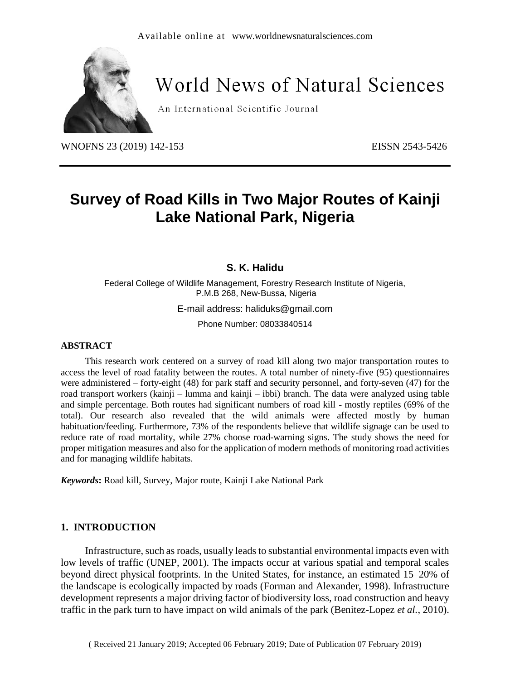

# **World News of Natural Sciences**

An International Scientific Journal

WNOFNS 23 (2019) 142-153 EISSN 2543-5426

## **Survey of Road Kills in Two Major Routes of Kainji Lake National Park, Nigeria**

#### **S. K. Halidu**

Federal College of Wildlife Management, Forestry Research Institute of Nigeria, P.M.B 268, New-Bussa, Nigeria

E-mail address: haliduks@gmail.com

Phone Number: 08033840514

#### **ABSTRACT**

This research work centered on a survey of road kill along two major transportation routes to access the level of road fatality between the routes. A total number of ninety-five (95) questionnaires were administered – forty-eight (48) for park staff and security personnel, and forty-seven (47) for the road transport workers (kainji – lumma and kainji – ibbi) branch. The data were analyzed using table and simple percentage. Both routes had significant numbers of road kill - mostly reptiles (69% of the total). Our research also revealed that the wild animals were affected mostly by human habituation/feeding. Furthermore, 73% of the respondents believe that wildlife signage can be used to reduce rate of road mortality, while 27% choose road-warning signs. The study shows the need for proper mitigation measures and also for the application of modern methods of monitoring road activities and for managing wildlife habitats.

*Keywords***:** Road kill, Survey, Major route, Kainji Lake National Park

#### **1. INTRODUCTION**

Infrastructure, such as roads, usually leads to substantial environmental impacts even with low levels of traffic (UNEP, 2001). The impacts occur at various spatial and temporal scales beyond direct physical footprints. In the United States, for instance, an estimated 15–20% of the landscape is ecologically impacted by roads (Forman and Alexander, 1998). Infrastructure development represents a major driving factor of biodiversity loss, road construction and heavy traffic in the park turn to have impact on wild animals of the park (Benitez-Lopez *et al.*, 2010).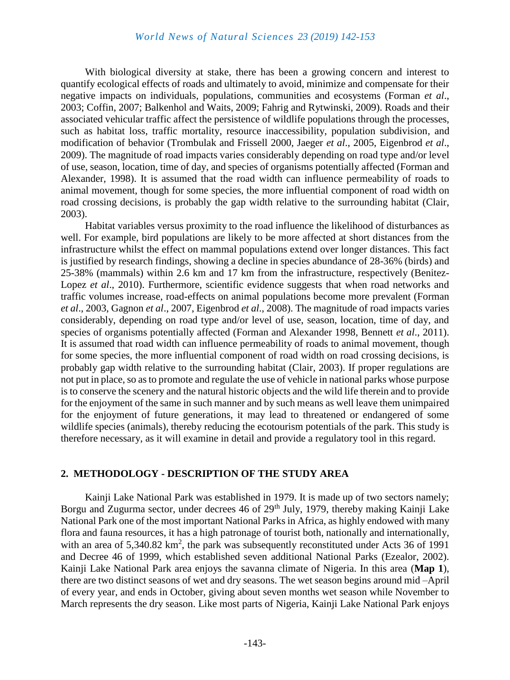With biological diversity at stake, there has been a growing concern and interest to quantify ecological effects of roads and ultimately to avoid, minimize and compensate for their negative impacts on individuals, populations, communities and ecosystems (Forman *et al*., 2003; Coffin, 2007; Balkenhol and Waits, 2009; Fahrig and Rytwinski, 2009). Roads and their associated vehicular traffic affect the persistence of wildlife populations through the processes, such as habitat loss, traffic mortality, resource inaccessibility, population subdivision, and modification of behavior (Trombulak and Frissell 2000, Jaeger *et al*., 2005, Eigenbrod *et al*., 2009). The magnitude of road impacts varies considerably depending on road type and/or level of use, season, location, time of day, and species of organisms potentially affected (Forman and Alexander, 1998). It is assumed that the road width can influence permeability of roads to animal movement, though for some species, the more influential component of road width on road crossing decisions, is probably the gap width relative to the surrounding habitat (Clair, 2003).

Habitat variables versus proximity to the road influence the likelihood of disturbances as well. For example, bird populations are likely to be more affected at short distances from the infrastructure whilst the effect on mammal populations extend over longer distances. This fact is justified by research findings, showing a decline in species abundance of 28-36% (birds) and 25-38% (mammals) within 2.6 km and 17 km from the infrastructure, respectively (Benitez-Lopez *et al.*, 2010). Furthermore, scientific evidence suggests that when road networks and traffic volumes increase, road-effects on animal populations become more prevalent (Forman *et al*., 2003, Gagnon *et al*., 2007, Eigenbrod *et al*., 2008). The magnitude of road impacts varies considerably, depending on road type and/or level of use, season, location, time of day, and species of organisms potentially affected (Forman and Alexander 1998, Bennett *et al*., 2011). It is assumed that road width can influence permeability of roads to animal movement, though for some species, the more influential component of road width on road crossing decisions, is probably gap width relative to the surrounding habitat (Clair, 2003). If proper regulations are not put in place, so asto promote and regulate the use of vehicle in national parks whose purpose is to conserve the scenery and the natural historic objects and the wild life therein and to provide for the enjoyment of the same in such manner and by such means as well leave them unimpaired for the enjoyment of future generations, it may lead to threatened or endangered of some wildlife species (animals), thereby reducing the ecotourism potentials of the park. This study is therefore necessary, as it will examine in detail and provide a regulatory tool in this regard.

#### **2. METHODOLOGY - DESCRIPTION OF THE STUDY AREA**

Kainji Lake National Park was established in 1979. It is made up of two sectors namely; Borgu and Zugurma sector, under decrees 46 of 29<sup>th</sup> July, 1979, thereby making Kainji Lake National Park one of the most important National Parks in Africa, as highly endowed with many flora and fauna resources, it has a high patronage of tourist both, nationally and internationally, with an area of  $5,340.82 \text{ km}^2$ , the park was subsequently reconstituted under Acts 36 of 1991 and Decree 46 of 1999, which established seven additional National Parks (Ezealor, 2002). Kainji Lake National Park area enjoys the savanna climate of Nigeria. In this area (**Map 1**), there are two distinct seasons of wet and dry seasons. The wet season begins around mid –April of every year, and ends in October, giving about seven months wet season while November to March represents the dry season. Like most parts of Nigeria, Kainji Lake National Park enjoys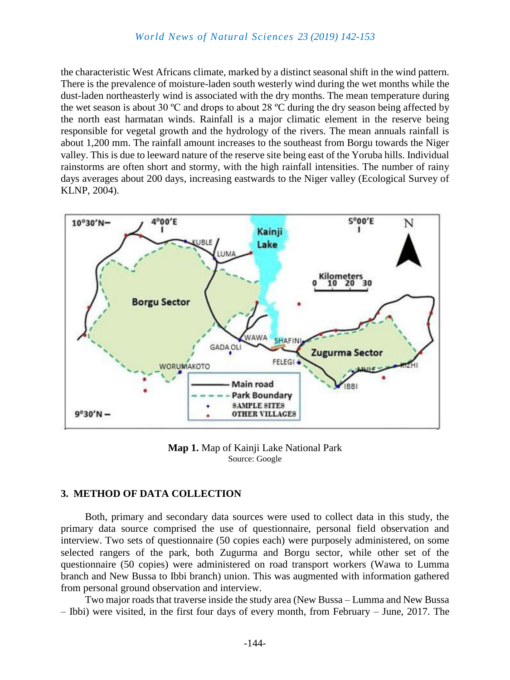the characteristic West Africans climate, marked by a distinct seasonal shift in the wind pattern. There is the prevalence of moisture-laden south westerly wind during the wet months while the dust-laden northeasterly wind is associated with the dry months. The mean temperature during the wet season is about 30 ºC and drops to about 28 ºC during the dry season being affected by the north east harmatan winds. Rainfall is a major climatic element in the reserve being responsible for vegetal growth and the hydrology of the rivers. The mean annuals rainfall is about 1,200 mm. The rainfall amount increases to the southeast from Borgu towards the Niger valley. This is due to leeward nature of the reserve site being east of the Yoruba hills. Individual rainstorms are often short and stormy, with the high rainfall intensities. The number of rainy days averages about 200 days, increasing eastwards to the Niger valley (Ecological Survey of KLNP, 2004).



**Map 1.** Map of Kainji Lake National Park Source: Google

#### **3. METHOD OF DATA COLLECTION**

Both, primary and secondary data sources were used to collect data in this study, the primary data source comprised the use of questionnaire, personal field observation and interview. Two sets of questionnaire (50 copies each) were purposely administered, on some selected rangers of the park, both Zugurma and Borgu sector, while other set of the questionnaire (50 copies) were administered on road transport workers (Wawa to Lumma branch and New Bussa to Ibbi branch) union. This was augmented with information gathered from personal ground observation and interview.

Two major roads that traverse inside the study area (New Bussa – Lumma and New Bussa – Ibbi) were visited, in the first four days of every month, from February – June, 2017. The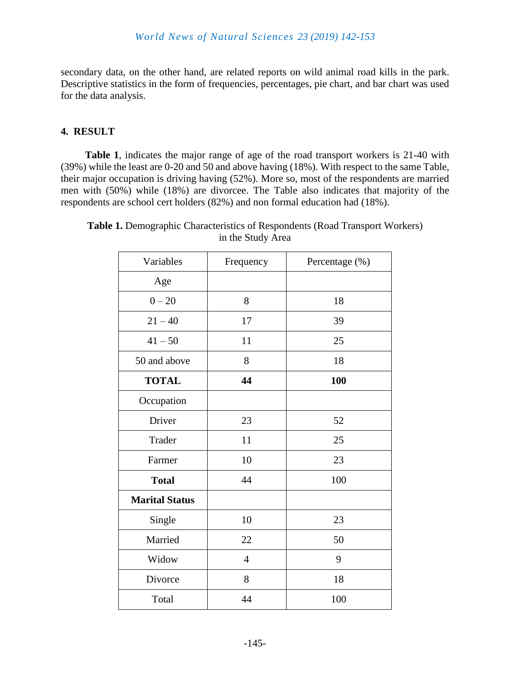secondary data, on the other hand, are related reports on wild animal road kills in the park. Descriptive statistics in the form of frequencies, percentages, pie chart, and bar chart was used for the data analysis.

#### **4. RESULT**

**Table 1**, indicates the major range of age of the road transport workers is 21-40 with (39%) while the least are 0-20 and 50 and above having (18%). With respect to the same Table, their major occupation is driving having (52%). More so, most of the respondents are married men with (50%) while (18%) are divorcee. The Table also indicates that majority of the respondents are school cert holders (82%) and non formal education had (18%).

| Variables             | Frequency      | Percentage (%) |
|-----------------------|----------------|----------------|
| Age                   |                |                |
| $0 - 20$              | 8              | 18             |
| $21 - 40$             | 17             | 39             |
| $41 - 50$             | 11             | 25             |
| 50 and above          | 8              | 18             |
| <b>TOTAL</b>          | 44             | 100            |
| Occupation            |                |                |
| Driver                | 23             | 52             |
| Trader                | 11             | 25             |
| Farmer                | 10             | 23             |
| <b>Total</b>          | 44             | 100            |
| <b>Marital Status</b> |                |                |
| Single                | 10             | 23             |
| Married               | 22             | 50             |
| Widow                 | $\overline{4}$ | 9              |
| Divorce               | 8              | 18             |
| Total                 | 44             | 100            |

**Table 1.** Demographic Characteristics of Respondents (Road Transport Workers) in the Study Area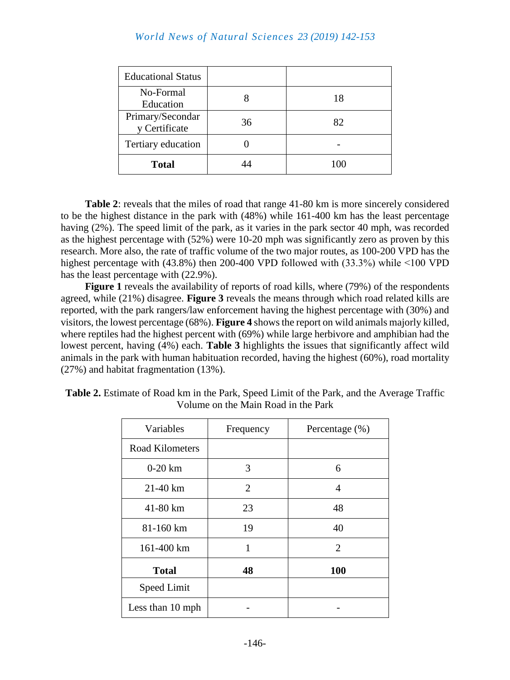| <b>Educational Status</b>         |    |     |
|-----------------------------------|----|-----|
| No-Formal<br>Education            |    | 18  |
| Primary/Secondar<br>y Certificate | 36 | 82  |
| Tertiary education                |    |     |
| <b>Total</b>                      |    | 100 |

**Table 2**: reveals that the miles of road that range 41-80 km is more sincerely considered to be the highest distance in the park with (48%) while 161-400 km has the least percentage having (2%). The speed limit of the park, as it varies in the park sector 40 mph, was recorded as the highest percentage with (52%) were 10-20 mph was significantly zero as proven by this research. More also, the rate of traffic volume of the two major routes, as 100-200 VPD has the highest percentage with (43.8%) then 200-400 VPD followed with (33.3%) while ˂100 VPD has the least percentage with (22.9%).

**Figure 1** reveals the availability of reports of road kills, where (79%) of the respondents agreed, while (21%) disagree. **Figure 3** reveals the means through which road related kills are reported, with the park rangers/law enforcement having the highest percentage with (30%) and visitors, the lowest percentage (68%). **Figure 4** shows the report on wild animals majorly killed, where reptiles had the highest percent with (69%) while large herbivore and amphibian had the lowest percent, having (4%) each. **Table 3** highlights the issues that significantly affect wild animals in the park with human habituation recorded, having the highest (60%), road mortality (27%) and habitat fragmentation (13%).

| Variables              | Frequency      | Percentage $(\% )$ |
|------------------------|----------------|--------------------|
| <b>Road Kilometers</b> |                |                    |
| $0-20$ km              | 3              | 6                  |
| 21-40 km               | $\overline{2}$ | 4                  |
| 41-80 km               | 23             | 48                 |
| 81-160 km              | 19             | 40                 |
| 161-400 km             | 1              | 2                  |
| <b>Total</b>           | 48             | 100                |
| Speed Limit            |                |                    |
| Less than 10 mph       |                |                    |

**Table 2.** Estimate of Road km in the Park, Speed Limit of the Park, and the Average Traffic Volume on the Main Road in the Park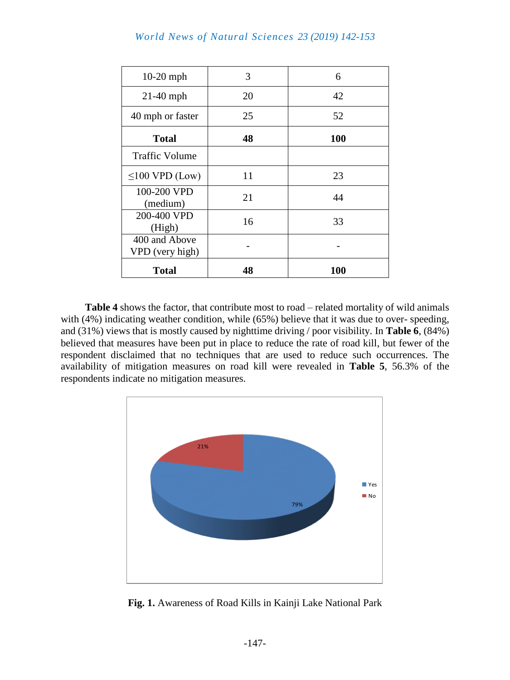| $10-20$ mph                      | 3  | 6   |
|----------------------------------|----|-----|
| $21-40$ mph                      | 20 | 42  |
| 40 mph or faster                 | 25 | 52  |
| <b>Total</b>                     | 48 | 100 |
| <b>Traffic Volume</b>            |    |     |
| $\leq$ 100 VPD (Low)             | 11 | 23  |
| 100-200 VPD<br>(medium)          | 21 | 44  |
| 200-400 VPD<br>(High)            | 16 | 33  |
| 400 and Above<br>VPD (very high) |    |     |
| <b>Total</b>                     | 48 | 100 |

**Table 4** shows the factor, that contribute most to road – related mortality of wild animals with (4%) indicating weather condition, while (65%) believe that it was due to over-speeding, and (31%) views that is mostly caused by nighttime driving / poor visibility. In **Table 6**, (84%) believed that measures have been put in place to reduce the rate of road kill, but fewer of the respondent disclaimed that no techniques that are used to reduce such occurrences. The availability of mitigation measures on road kill were revealed in **Table 5**, 56.3% of the respondents indicate no mitigation measures.



**Fig. 1.** Awareness of Road Kills in Kainji Lake National Park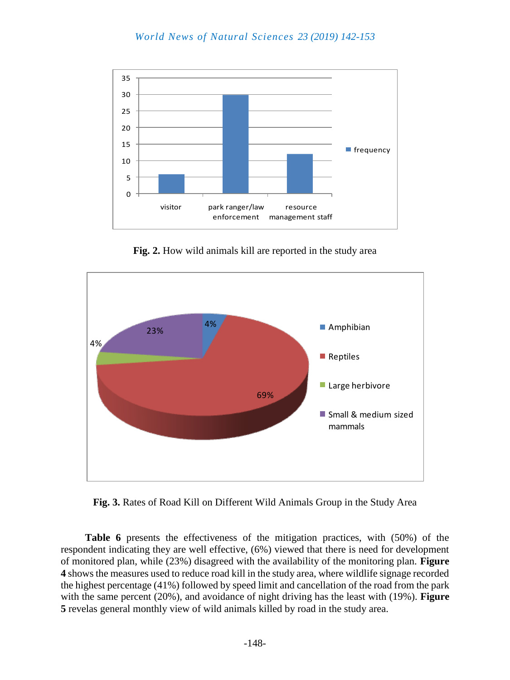

**Fig. 2.** How wild animals kill are reported in the study area



**Fig. 3.** Rates of Road Kill on Different Wild Animals Group in the Study Area

**Table 6** presents the effectiveness of the mitigation practices, with (50%) of the respondent indicating they are well effective, (6%) viewed that there is need for development of monitored plan, while (23%) disagreed with the availability of the monitoring plan. **Figure 4** shows the measures used to reduce road kill in the study area, where wildlife signage recorded the highest percentage (41%) followed by speed limit and cancellation of the road from the park with the same percent (20%), and avoidance of night driving has the least with (19%). **Figure 5** revelas general monthly view of wild animals killed by road in the study area.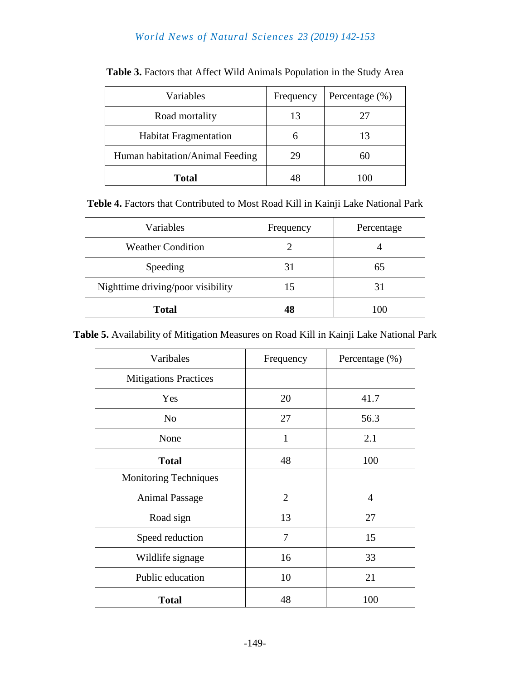| Variables                       | Frequency | Percentage (%) |
|---------------------------------|-----------|----------------|
| Road mortality                  | 13        | 27             |
| <b>Habitat Fragmentation</b>    |           | 13             |
| Human habitation/Animal Feeding |           | 60             |
| <b>Total</b>                    |           | 100            |

| Table 3. Factors that Affect Wild Animals Population in the Study Area |  |
|------------------------------------------------------------------------|--|
|------------------------------------------------------------------------|--|

**Teble 4.** Factors that Contributed to Most Road Kill in Kainji Lake National Park

| Variables                         | Frequency | Percentage |
|-----------------------------------|-----------|------------|
| <b>Weather Condition</b>          |           |            |
| Speeding                          | 31        | 65         |
| Nighttime driving/poor visibility | 15        | 31         |
| <b>Total</b>                      | 48        | 100        |

| Table 5. Availability of Mitigation Measures on Road Kill in Kainji Lake National Park |  |
|----------------------------------------------------------------------------------------|--|
|----------------------------------------------------------------------------------------|--|

| Varibales                    | Frequency      | Percentage (%) |
|------------------------------|----------------|----------------|
| <b>Mitigations Practices</b> |                |                |
| Yes                          | 20             | 41.7           |
| N <sub>0</sub>               | 27             | 56.3           |
| None                         | 1              | 2.1            |
| <b>Total</b>                 | 48             | 100            |
| <b>Monitoring Techniques</b> |                |                |
| <b>Animal Passage</b>        | $\overline{2}$ | $\overline{4}$ |
| Road sign                    | 13             | 27             |
| Speed reduction              | 7              | 15             |
| Wildlife signage             | 16             | 33             |
| Public education             | 10             | 21             |
| <b>Total</b>                 | 48             | 100            |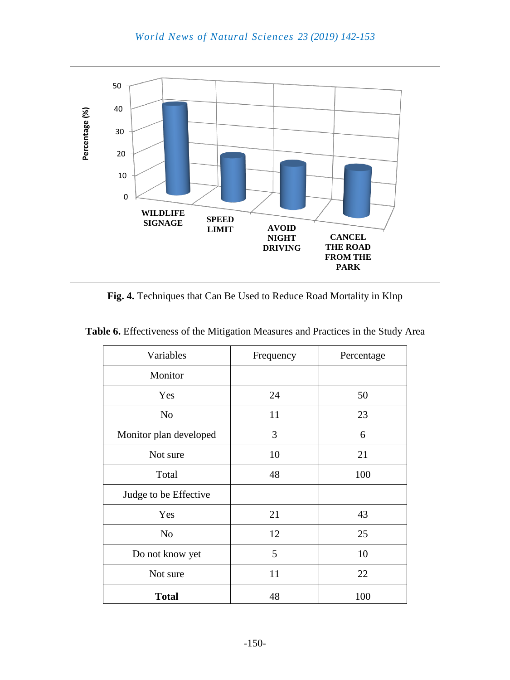

**Fig. 4.** Techniques that Can Be Used to Reduce Road Mortality in Klnp

| Variables              | Frequency | Percentage |
|------------------------|-----------|------------|
| Monitor                |           |            |
| Yes                    | 24        | 50         |
| N <sub>o</sub>         | 11        | 23         |
| Monitor plan developed | 3         | 6          |
| Not sure               | 10        | 21         |
| Total                  | 48        | 100        |
| Judge to be Effective  |           |            |
| Yes                    | 21        | 43         |
| N <sub>o</sub>         | 12        | 25         |
| Do not know yet        | 5         | 10         |
| Not sure               | 11        | 22         |
| <b>Total</b>           | 48        | 100        |

**Table 6.** Effectiveness of the Mitigation Measures and Practices in the Study Area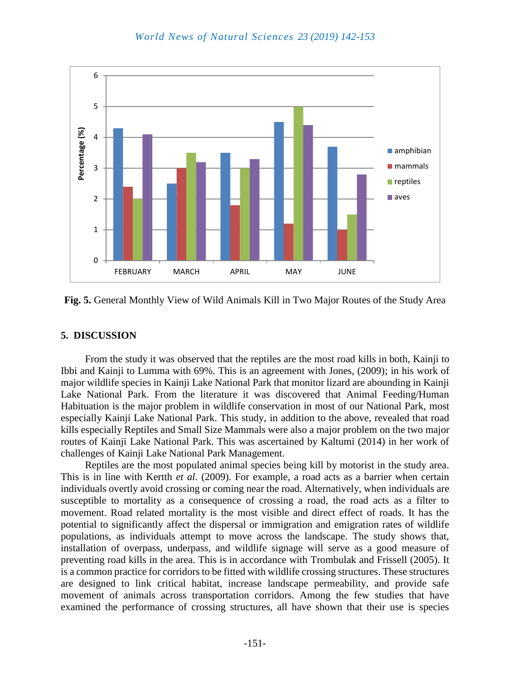

**Fig. 5.** General Monthly View of Wild Animals Kill in Two Major Routes of the Study Area

#### **5. DISCUSSION**

From the study it was observed that the reptiles are the most road kills in both, Kainji to Ibbi and Kainji to Lumma with 69%. This is an agreement with Jones, (2009); in his work of major wildlife species in Kainji Lake National Park that monitor lizard are abounding in Kainji Lake National Park. From the literature it was discovered that Animal Feeding/Human Habituation is the major problem in wildlife conservation in most of our National Park, most especially Kainji Lake National Park. This study, in addition to the above, revealed that road kills especially Reptiles and Small Size Mammals were also a major problem on the two major routes of Kainji Lake National Park. This was ascertained by Kaltumi (2014) in her work of challenges of Kainji Lake National Park Management.

Reptiles are the most populated animal species being kill by motorist in the study area. This is in line with Kertth *et al*. (2009). For example, a road acts as a barrier when certain individuals overtly avoid crossing or coming near the road. Alternatively, when individuals are susceptible to mortality as a consequence of crossing a road, the road acts as a filter to movement. Road related mortality is the most visible and direct effect of roads. It has the potential to significantly affect the dispersal or immigration and emigration rates of wildlife populations, as individuals attempt to move across the landscape. The study shows that, installation of overpass, underpass, and wildlife signage will serve as a good measure of preventing road kills in the area. This is in accordance with Trombulak and Frissell (2005). It is a common practice for corridors to be fitted with wildlife crossing structures. These structures are designed to link critical habitat, increase landscape permeability, and provide safe movement of animals across transportation corridors. Among the few studies that have examined the performance of crossing structures, all have shown that their use is species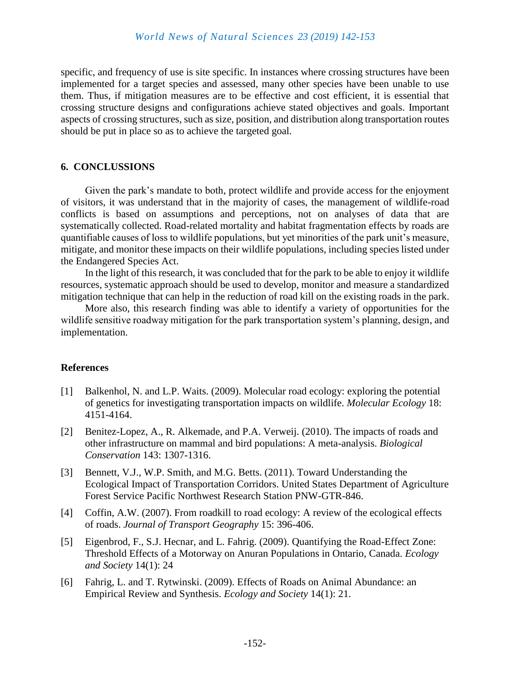specific, and frequency of use is site specific. In instances where crossing structures have been implemented for a target species and assessed, many other species have been unable to use them. Thus, if mitigation measures are to be effective and cost efficient, it is essential that crossing structure designs and configurations achieve stated objectives and goals. Important aspects of crossing structures, such as size, position, and distribution along transportation routes should be put in place so as to achieve the targeted goal.

#### **6. CONCLUSSIONS**

Given the park's mandate to both, protect wildlife and provide access for the enjoyment of visitors, it was understand that in the majority of cases, the management of wildlife-road conflicts is based on assumptions and perceptions, not on analyses of data that are systematically collected. Road-related mortality and habitat fragmentation effects by roads are quantifiable causes of loss to wildlife populations, but yet minorities of the park unit's measure, mitigate, and monitor these impacts on their wildlife populations, including species listed under the Endangered Species Act.

In the light of this research, it was concluded that for the park to be able to enjoy it wildlife resources, systematic approach should be used to develop, monitor and measure a standardized mitigation technique that can help in the reduction of road kill on the existing roads in the park.

More also, this research finding was able to identify a variety of opportunities for the wildlife sensitive roadway mitigation for the park transportation system's planning, design, and implementation.

#### **References**

- [1] Balkenhol, N. and L.P. Waits. (2009). Molecular road ecology: exploring the potential of genetics for investigating transportation impacts on wildlife. *Molecular Ecology* 18: 4151-4164.
- [2] Benitez-Lopez, A., R. Alkemade, and P.A. Verweij. (2010). The impacts of roads and other infrastructure on mammal and bird populations: A meta-analysis. *Biological Conservation* 143: 1307-1316.
- [3] Bennett, V.J., W.P. Smith, and M.G. Betts. (2011). Toward Understanding the Ecological Impact of Transportation Corridors. United States Department of Agriculture Forest Service Pacific Northwest Research Station PNW-GTR-846.
- [4] Coffin, A.W. (2007). From roadkill to road ecology: A review of the ecological effects of roads. *Journal of Transport Geography* 15: 396-406.
- [5] Eigenbrod, F., S.J. Hecnar, and L. Fahrig. (2009). Quantifying the Road-Effect Zone: Threshold Effects of a Motorway on Anuran Populations in Ontario, Canada. *Ecology and Society* 14(1): 24
- [6] Fahrig, L. and T. Rytwinski. (2009). Effects of Roads on Animal Abundance: an Empirical Review and Synthesis. *Ecology and Society* 14(1): 21.